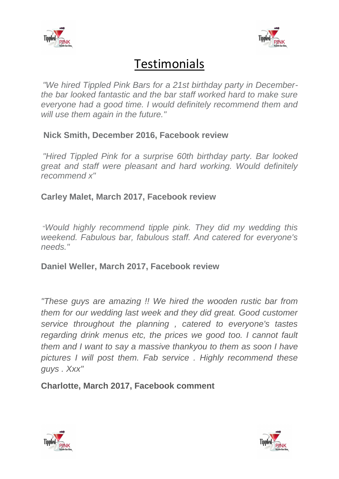



## **Testimonials**

*"We hired Tippled Pink Bars for a 21st birthday party in Decemberthe bar looked fantastic and the bar staff worked hard to make sure everyone had a good time. I would definitely recommend them and will use them again in the future."*

## **Nick Smith, December 2016, Facebook review**

*"Hired Tippled Pink for a surprise 60th birthday party. Bar looked great and staff were pleasant and hard working. Would definitely recommend x"*

## **Carley Malet, March 2017, Facebook review**

"*Would highly recommend tipple pink. They did my wedding this weekend. Fabulous bar, fabulous staff. And catered for everyone's needs."*

**Daniel Weller, March 2017, Facebook review**

*"These guys are amazing !! We hired the wooden rustic bar from them for our wedding last week and they did great. Good customer service throughout the planning , catered to everyone's tastes regarding drink menus etc, the prices we good too. I cannot fault them and I want to say a massive thankyou to them as soon I have pictures I will post them. Fab service . Highly recommend these guys . Xxx"* 

**Charlotte, March 2017, Facebook comment**